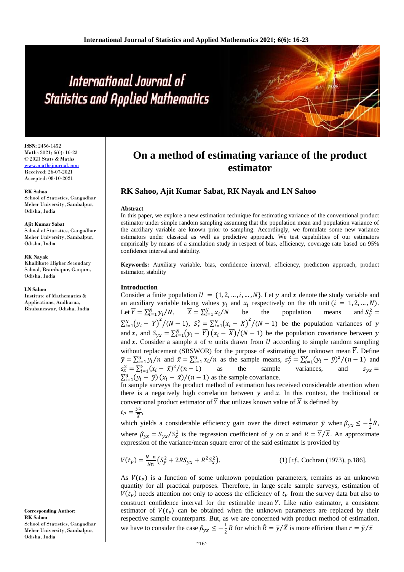# International Journal of **Statistics and Applied Mathematics**

**ISSN:** 2456-1452 Maths 2021; 6(6): 16-23 © 2021 Stats & Maths <www.mathsjournal.com> Received: 26-07-2021

Accepted: 08-10-2021

#### **RK Sahoo**

School of Statistics, Gangadhar Meher University, Sambalpur, Odisha, India

#### **Ajit Kumar Sabat**

School of Statistics, Gangadhar Meher University, Sambalpur, Odisha, India

#### **RK Nayak**

Khallikote Higher Secondary School, Bramhapur, Ganjam, Odisha, India

#### **LN Sahoo**

Institute of Mathematics & Applications, Andharua, Bhubaneswar, Odisha, India

**Corresponding Author: RK Sahoo** School of Statistics, Gangadhar Meher University, Sambalpur, Odisha, India

# **On a method of estimating variance of the product estimator**

# **RK Sahoo, Ajit Kumar Sabat, RK Nayak and LN Sahoo**

#### **Abstract**

In this paper, we explore a new estimation technique for estimating variance of the conventional product estimator under simple random sampling assuming that the population mean and population variance of the auxiliary variable are known prior to sampling. Accordingly, we formulate some new variance estimators under classical as well as predictive approach. We test capabilities of our estimators empirically by means of a simulation study in respect of bias, efficiency, coverage rate based on 95% confidence interval and stability.

**Keywords:** Auxiliary variable, bias, confidence interval, efficiency, prediction approach, product estimator, stability

#### **Introduction**

Consider a finite population  $U = \{1, 2, ..., i, ..., N\}$ . Let y and x denote the study variable and an auxiliary variable taking values  $y_i$  and  $x_i$  respectively on the *i*th unit  $(i = 1, 2, ..., N)$ . Let  $\overline{Y} = \sum_{i=1}^{N} y_i / N$ ,  $\overline{X} = \sum_{i=1}^{N} x_i / N$  be the population means and  $S_y^2$ and  $S_v^2$  =  $\sum_{i=1}^{N} (y_i - \overline{Y})^2 / (N-1)$ ,  $S_x^2 = \sum_{i=1}^{N} (x_i - \overline{X})^2 / (N-1)$  be the population variances of y and x, and  $S_{yx} = \sum_{i=1}^{N} (y_i - \overline{Y})(x_i - \overline{X})/(N-1)$  be the population covariance between y and  $x$ . Consider a sample  $s$  of  $n$  units drawn from  $U$  according to simple random sampling without replacement (SRSWOR) for the purpose of estimating the unknown mean  $\overline{Y}$ . Define  $\bar{y} = \sum_{i=1}^{n} y_i/n$  and  $\bar{x} = \sum_{i=1}^{n} x_i/n$  as the sample means,  $s_y^2 = \sum_{i=1}^{y} (y_i - \bar{y})^2/(n-1)$  and  $s_x^2 = \sum_{i=1}^{y} (x_i - \bar{x})^2 / (n-1)$  as the sample variances, and  $s_{yx} =$  $\sum_{i=1}^{n} (y_i - \bar{y}) (x_i - \bar{x})/(n-1)$  as the sample covariance.

In sample surveys the product method of estimation has received considerable attention when there is a negatively high correlation between  $y$  and  $x$ . In this context, the traditional or conventional product estimator of  $\overline{Y}$  that utilizes known value of  $\overline{X}$  is defined by  $\bar{y}\bar{x}$ 

$$
t_P =
$$

 $\frac{y\lambda}{\overline{X}},$ 

which yields a considerable efficiency gain over the direct estimator  $\bar{y}$  when  $\beta_{yx} \leq -\frac{1}{2}$  $\frac{1}{2}R$ , where  $\beta_{yx} = S_{yx}/S_x^2$  is the regression coefficient of y on x and  $R = \overline{Y}/\overline{X}$ . An approximate expression of the variance/mean square error of the said estimator is provided by

$$
V(t_P) = \frac{N-n}{Nn} \left( S_y^2 + 2RS_{yx} + R^2 S_x^2 \right).
$$
 (1) [cf., Cochran (1973), p.186].

As  $V(t<sub>P</sub>)$  is a function of some unknown population parameters, remains as an unknown quantity for all practical purposes. Therefore, in large scale sample surveys, estimation of  $V(t<sub>P</sub>)$  needs attention not only to access the efficiency of  $t<sub>P</sub>$  from the survey data but also to construct confidence interval for the estimable mean  $\overline{Y}$ . Like ratio estimator, a consistent estimator of  $V(t<sub>P</sub>)$  can be obtained when the unknown parameters are replaced by their respective sample counterparts. But, as we are concerned with product method of estimation, we have to consider the case  $\beta_{yx} \leq -\frac{1}{2}$  $\frac{1}{2}R$  for which  $\hat{R} = \bar{y}/\bar{X}$  is more efficient than  $r = \bar{y}/\bar{x}$ 

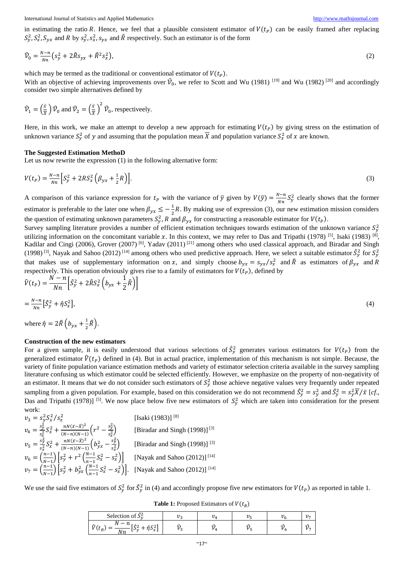International Journal of Statistics and Applied Mathematics [http://www.mathsjournal.com](http://www.mathsjournal.com/)

in estimating the ratio R. Hence, we feel that a plausible consistent estimator of  $V(t_p)$  can be easily framed after replacing  $S_y^2$ ,  $S_x^2$ ,  $S_{yx}$  and R by  $S_y^2$ ,  $S_x^2$ ,  $S_{yx}$  and R respectively. Such an estimator is of the form

$$
\hat{\mathcal{V}}_0 = \frac{N - n}{N n} \left( s_y^2 + 2 \hat{R} s_{yx} + \hat{R}^2 s_x^2 \right),\tag{2}
$$

which may be termed as the traditional or conventional estimator of  $V(t<sub>P</sub>)$ .

With an objective of achieving improvements over  $\hat{V}_0$ , we refer to Scott and Wu (1981) <sup>[19]</sup> and Wu (1982) <sup>[20]</sup> and accordingly consider two simple alternatives defined by

$$
\hat{\mathcal{V}}_1 = \left(\frac{\bar{x}}{\bar{x}}\right)\hat{\mathcal{V}}_0
$$
 and  $\hat{\mathcal{V}}_2 = \left(\frac{\bar{x}}{\bar{x}}\right)^2 \hat{\mathcal{V}}_0$ , respectively.

Here, in this work, we make an attempt to develop a new approach for estimating  $V(t_p)$  by giving stress on the estimation of unknown variance  $S_y^2$  of y and assuming that the population mean  $\overline{X}$  and population variance  $S_x^2$  of x are known.

#### **The Suggested Estimation MethoD**

Let us now rewrite the expression (1) in the following alternative form:

$$
V(t_P) = \frac{N - n}{Nn} \Big[ S_y^2 + 2RS_x^2 \left( \beta_{yx} + \frac{1}{2}R \right) \Big].
$$
 (3)

A comparison of this variance expression for  $t_p$  with the variance of  $\bar{y}$  given by  $V(\bar{y}) = \frac{N-n}{Nn}$  $\frac{\sqrt{N}}{Nn}S_y^2$  clearly shows that the former estimator is preferable to the later one when  $\beta_{yx} \leq -\frac{1}{3}$  $\frac{1}{2}R$ . By making use of expression (3), our new estimation mission considers the question of estimating unknown parameters  $S_y^2$ , R and  $\beta_{yx}$  for constructing a reasonable estimator for  $V(t_p)$ .

Survey sampling literature provides a number of efficient estimation techniques towards estimation of the unknown variance  $S_y^2$ utilizing information on the concomitant variable x. In this context, we may refer to Das and Tripathi (1978)  $^{[5]}$ , Isaki (1983)  $^{[8]}$ , Kadilar and Cingi (2006), Grover (2007)<sup>[6]</sup>, Yadav (2011)<sup>[21]</sup> among others who used classical approach, and Biradar and Singh (1998)<sup>[3]</sup>, Nayak and Sahoo (2012)<sup>[14]</sup> among others who used predictive approach. Here, we select a suitable estimator  $\hat{S}_y^2$  for  $S_y^2$ that makes use of supplementary information on x, and simply choose  $b_{yx} = s_{yx}/s_x^2$  and  $\hat{R}$  as estimators of  $\beta_{yx}$  and  $\hat{R}$ respectively. This operation obviously gives rise to a family of estimators for  $V(t<sub>P</sub>)$ , defined by

$$
\hat{V}(t_p) = \frac{N - n}{Nn} \left[ \hat{S}_y^2 + 2\hat{R}\hat{S}_x^2 \left( b_{yx} + \frac{1}{2}\hat{R} \right) \right]
$$
\n
$$
= \frac{N - n}{Nn} \left[ \hat{S}_y^2 + \hat{\eta}S_x^2 \right],\tag{4}
$$

where  $\hat{\eta} = 2\hat{R} \left( b_{yx} + \frac{1}{2} \right)$  $\frac{1}{2}\widehat{R}$ ).

#### **Construction of the new estimators**

For a given sample, it is easily understood that various selections of  $\hat{S}_y^2$  generates various estimators for  $V(t_p)$  from the generalized estimator  $\hat{V}(t_p)$  defined in (4). But in actual practice, implementation of this mechanism is not simple. Because, the variety of finite population variance estimation methods and variety of estimator selection criteria available in the survey sampling literature confusing us which estimator could be selected efficiently. However, we emphasize on the property of non-negativity of an estimator. It means that we do not consider such estimators of  $S_y^2$  those achieve negative values very frequently under repeated sampling from a given population. For example, based on this consideration we do not recommend  $\hat{S}_y^2 = s_y^2$  and  $\hat{S}_y^2 = s_y^2 \overline{X}/\overline{X}$  [*cf.*, Das and Tripathi (1978)] <sup>[5]</sup>. We now place below five new estimators of  $S_y^2$  which are taken into consideration for the present work:

$$
v_3 = s_y^2 S_x^2 / s_x^2
$$
 [Isaki (1983)]<sup>[8]</sup>  
\n
$$
v_4 = \frac{s_y^2}{s_x^2} S_x^2 + \frac{n N (\bar{x} - \bar{x})^2}{(N - n)(N - 1)} \left( r^2 - \frac{s_y^2}{s_x^2} \right)
$$
 [Biradar and Singh (1998)]<sup>[3]</sup>  
\n
$$
v_5 = \frac{s_y^2}{s_x^2} S_x^2 + \frac{n N (\bar{x} - \bar{x})^2}{(N - n)(N - 1)} \left( b_{yx}^2 - \frac{s_y^2}{s_x^2} \right)
$$
 [Biradar and Singh (1998)]<sup>[3]</sup>  
\n
$$
v_6 = \left( \frac{n - 1}{N - 1} \right) \left[ s_y^2 + r^2 \left( \frac{n - 1}{n - 1} S_x^2 - s_x^2 \right) \right]
$$
 [Nayak and Sahoo (2012)]<sup>[14]</sup>  
\n
$$
v_7 = \left( \frac{n - 1}{N - 1} \right) \left[ s_y^2 + b_{yx}^2 \left( \frac{N - 1}{n - 1} S_x^2 - s_x^2 \right) \right].
$$
 [Nayak and Sahoo (2012)]<sup>[14]</sup>

We use the said five estimators of  $S_y^2$  for  $\hat{S}_y^2$  in (4) and accordingly propose five new estimators for  $V(t_p)$  as reported in table 1.

| ĉ2<br>Selection of $\hat{S}_v$                                                     | n. | $\overline{\phantom{a}}$ | 11<br>ı | 22<br>" |
|------------------------------------------------------------------------------------|----|--------------------------|---------|---------|
| ΛĪ<br>--<br>$\sim$<br>$\sim$<br>$\sim$<br>L D<br>リレッ<br>۰۰ سا<br>$\sim$<br>∼<br>Nт |    |                          |         |         |

**Table 1:** Proposed Estimators of  $V(t_R)$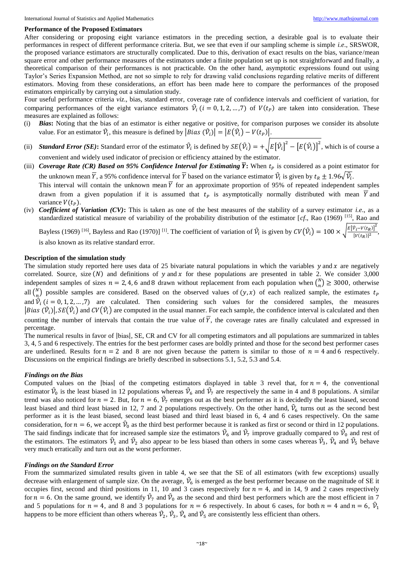#### **Performance of the Proposed Estimators**

After considering or proposing eight variance estimators in the preceding section, a desirable goal is to evaluate their performances in respect of different performance criteria. But, we see that even if our sampling scheme is simple *i.e*., SRSWOR, the proposed variance estimators are structurally complicated. Due to this, derivation of exact results on the bias, variance/mean square error and other performance measures of the estimators under a finite population set up is not straightforward and finally, a theoretical comparison of their performances is not practicable. On the other hand, asymptotic expressions found out using Taylor's Series Expansion Method, are not so simple to rely for drawing valid conclusions regarding relative merits of different estimators. Moving from these considerations, an effort has been made here to compare the performances of the proposed estimators empirically by carrying out a simulation study.

Four useful performance criteria *viz*., bias, standard error, coverage rate of confidence intervals and coefficient of variation, for comparing performances of the eight variance estimators  $\hat{V}_i$  ( $i = 0, 1, 2, ..., 7$ ) of  $V(t_p)$  are taken into consideration. These measures are explained as follows:

- (i) *Bias***:** Noting that the bias of an estimator is either negative or positive, for comparison purposes we consider its absolute value. For an estimator  $\hat{V}_i$ , this measure is defined by  $|Bias(\hat{V}_i)| = |E(\hat{V}_i) - V(t_P)|$ .
- (ii) *Standard Error (SE)*: Standard error of the estimator  $\hat{\mathcal{V}}_i$  is defined by  $SE(\hat{\mathcal{V}}_i) = +\sqrt{E[\hat{\mathcal{V}}_i]^2 [E(\hat{\mathcal{V}}_i)]^2}$ , which is of course a convenient and widely used indicator of precision or efficiency attained by the estimator.
- (iii) *Coverage Rate (CR) Based on 95% Confidence Interval for Estimating*  $\overline{Y}$ : When  $t_p$  is considered as a point estimator for the unknown mean  $\bar{Y}$ , a 95% confidence interval for  $\bar{Y}$  based on the variance estimator  $\hat{V}_i$  is given by  $t_R \pm 1.96\sqrt{\hat{V}_i}$ . This interval will contain the unknown mean  $\overline{Y}$  for an approximate proportion of 95% of repeated independent samples drawn from a given population if it is assumed that  $t_p$  is asymptotically normally distributed with mean  $\overline{Y}$  and variance  $V(t<sub>p</sub>)$ .
- (iv) *Coefficient of Variation (CV)***:** This is taken as one of the best measures of the stability of a survey estimator *i.e*., as a standardized statistical measure of variability of the probability distribution of the estimator  $[cf]$ , Rao  $(1969)$ <sup>[15]</sup>, Rao and

Bayless (1969) <sup>[16]</sup>, Bayless and Rao (1970)] <sup>[1]</sup>. The coefficient of variation of  $\hat{V}_i$  is given by  $CV(\hat{V}_i) = 100 \times \sqrt{\frac{E[\hat{V}_i - V(t_R)]^2}{[V(t_R)]^2}}$  $\frac{V_i^{-V(kR)}}{[V(t_R)]^2}$ , is also known as its relative standard error.

#### **Description of the simulation study**

The simulation study reported here uses data of 25 bivariate natural populations in which the variables  $y$  and  $x$  are negatively correlated. Source, size  $(N)$  and definitions of y and x for these populations are presented in table 2. We consider 3,000 independent samples of sizes  $n = 2, 4, 6$  and 8 drawn without replacement from each population when  $\binom{N}{n}$  $\binom{n}{n} \geq 3000$ , otherwise all  $\binom{N}{n}$  $\binom{n}{n}$  possible samples are considered. Based on the observed values of  $(y, x)$  of each realized sample, the estimates  $t_p$ and  $\hat{V}_i$  (*i* = 0, 1, 2, ..., 7) are calculated. Then considering such values for the considered samples, the measures  $|Bias(\hat{V}_i)|$ ,  $SE(\hat{V}_i)$  and  $CV(\hat{V}_i)$  are computed in the usual manner. For each sample, the confidence interval is calculated and then counting the number of intervals that contain the true value of  $\overline{Y}$ , the coverage rates are finally calculated and expressed in percentage.

The numerical results in favor of |bias|, SE, CR and CV for all competing estimators and all populations are summarized in tables 3, 4, 5 and 6 respectively. The entries for the best performer cases are boldly printed and those for the second best performer cases are underlined. Results for  $n = 2$  and 8 are not given because the pattern is similar to those of  $n = 4$  and 6 respectively. Discussions on the empirical findings are briefly described in subsections 5.1, 5.2, 5.3 and 5.4.

#### *Findings on the Bias*

Computed values on the |bias| of the competing estimators displayed in table 3 revel that, for  $n = 4$ , the conventional estimator  $\hat{V}_0$  is the least biased in 12 populations whereas  $\hat{V}_6$  and  $\hat{V}_7$  are respectively the same in 4 and 8 populations. A similar trend was also noticed for  $n = 2$ . But, for  $n = 6$ ,  $\hat{V}_7$  emerges out as the best performer as it is decidedly the least biased, second least biased and third least biased in 12, 7 and 2 populations respectively. On the other hand,  $\hat{V}_6$  turns out as the second best performer as it is the least biased, second least biased and third least biased in 6, 4 and 6 cases respectively. On the same consideration, for  $n = 6$ , we accept  $\hat{V}_0$  as the third best performer because it is ranked as first or second or third in 12 populations. The said findings indicate that for increased sample size the estimators  $\hat{V}_6$  and  $\hat{V}_7$  improve gradually compared to  $\hat{V}_0$  and rest of the estimators. The estimators  $\hat{V}_1$  and  $\hat{V}_2$  also appear to be less biased than others in some cases whereas  $\hat{V}_3$ ,  $\hat{V}_4$  and  $\hat{V}_5$  behave very much erratically and turn out as the worst performer.

#### *Findings on the Standard Error*

From the summarized simulated results given in table 4, we see that the SE of all estimators (with few exceptions) usually decrease with enlargement of sample size. On the average,  $\hat{V}_6$  is emerged as the best performer because on the magnitude of SE it occupies first, second and third positions in 11, 10 and 3 cases respectively for  $n = 4$ , and in 14, 9 and 2 cases respectively for  $n = 6$ . On the same ground, we identify  $\hat{V}_7$  and  $\hat{V}_0$  as the second and third best performers which are the most efficient in 7 and 5 populations for  $n = 4$ , and 8 and 3 populations for  $n = 6$  respectively. In about 6 cases, for both  $n = 4$  and  $n = 6$ ,  $\hat{V}_1$ happens to be more efficient than others whereas  $\hat{V}_2$ ,  $\hat{V}_3$ ,  $\hat{V}_4$  and  $\hat{V}_5$  are consistently less efficient than others.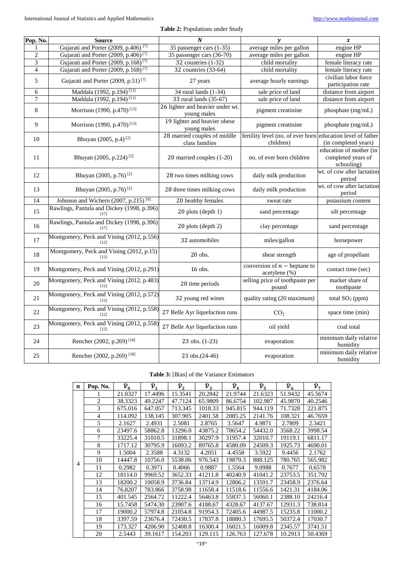| Pop. No.       | <b>Source</b>                                       | N                                               | y                                               | $\pmb{\chi}$                                                |
|----------------|-----------------------------------------------------|-------------------------------------------------|-------------------------------------------------|-------------------------------------------------------------|
| 1              | Gujarati and Porter (2009, p.406) <sup>[7]</sup>    | 35 passenger cars (1-35)                        | average miles per gallon                        | engine HP                                                   |
| $\overline{2}$ | Gujarati and Porter (2009, p.406) <sup>[7]</sup>    | 35 passenger cars (36-70)                       | average miles per gallon                        | engine HP                                                   |
| 3              | Gujarati and Porter (2009, p.168) <sup>[7]</sup>    | 32 countries $(1-32)$                           | child mortality                                 | female literacy rate                                        |
| $\overline{4}$ | Gujarati and Porter (2009, p.168) <sup>[7]</sup>    | 32 countries $(33-64)$                          | child mortality                                 | female literacy rate                                        |
| 5              | Gujarati and Porter (2009, p.51) <sup>[7]</sup>     | 27 years                                        | average hourly earnings                         | civilian labor force<br>participation rate                  |
| 6              | Maddala (1992, p.194) <sup>[11]</sup>               | 34 rural lands $(1-34)$                         | sale price of land                              | distance from airport                                       |
| 7              | Maddala (1992, p.194) <sup>[11]</sup>               | 33 rural lands (35-67)                          | sale price of land                              | distance from airport                                       |
| 8              | Morrison (1990, p.470) <sup>[13]</sup>              | 26 lighter and heavier under wt.<br>young males | pigment creatinine                              | phosphate (mg/mL)                                           |
| 9              | Morrison (1990, p.470) <sup>[13]</sup>              | 19 lighter and heavier obese<br>young males     | pigment creatinine                              | phosphate (mg/mL)                                           |
| 10             | Bhuyan (2005, p.4) <sup>[2]</sup>                   | 28 married couples of middle<br>class families  | fertility level (no. of ever born<br>children)  | education level of father<br>(in completed years)           |
| 11             | Bhuyan (2005, p.224) <sup>[2]</sup>                 | 20 married couples (1-20)                       | no. of ever born children                       | education of mother (in<br>completed years of<br>schooling) |
| 12             | Bhuyan (2005, p.76) <sup>[2]</sup>                  | 28 two times milking cows                       | daily milk production                           | wt. of cow after lactation<br>period                        |
| 13             | Bhuyan (2005, p.76) <sup>[2]</sup>                  | 28 three times milking cows                     | daily milk production                           | wt. of cow after lactation<br>period                        |
| 14             | Johnson and Wichern (2007, p.215) <sup>[9]</sup>    | 20 healthy females                              | sweat rate                                      | potassium content                                           |
| 15             | Rawlings, Pantula and Dickey (1998, p.396)<br>[17]  | 20 plots (depth 1)                              | sand percentage                                 | silt percentage                                             |
| 16             | Rawlings, Pantula and Dickey (1998, p.396)<br>[17]  | 20 plots (depth 2)                              | clay percentage                                 | sand percentage                                             |
| 17             | Montgomery, Peck and Vining (2012, p.556)<br>[12]   | 32 automobiles                                  | miles/gallon                                    | horsepower                                                  |
| 18             | Montgomery, Peck and Vining (2012, p.15)            | 20 obs.                                         | shear strength                                  | age of propellant                                           |
| 19             | Montgomery, Peck and Vining (2012, p.291)           | 16 obs.                                         | conversion of $n$ – heptane to<br>acetylene (%) | contact time (sec)                                          |
| 20             | Montgomery, Peck and Vining (2012, p.483)<br>$[12]$ | 20 time periods                                 | selling price of toothpaste per<br>pound        | market share of<br>toothpaste                               |
| $21\,$         | Montgomery, Peck and Vining (2012, p.572)<br>[12]   | 32 young red wines                              | quality rating (20 maximum)                     | total SO <sub>2</sub> (ppm)                                 |
| 22             | Montgomery, Peck and Vining (2012, p.558)<br>[12]   | 27 Belle Ayr liquefaction runs                  | CO <sub>2</sub>                                 | space time (min)                                            |
| 23             | Montgomery, Peck and Vining (2012, p.558)<br>$[12]$ | 27 Belle Ayr liquefaction runs                  | oil yield                                       | coal total                                                  |
| 24             | Rencher (2002, p.269) <sup>[18]</sup>               | $23$ obs. $(1-23)$                              | evaporation                                     | minimum daily relative<br>humidity                          |
| 25             | Rencher (2002, p.269) <sup>[18]</sup>               | 23 obs.(24-46)                                  | evaporation                                     | minimum daily relative<br>humidity                          |

# **Table 3:** |Bias| of the Variance Estimators

| $\boldsymbol{n}$ | Pop. No.       | $\widehat{\mathcal{V}}_0$ | $\widehat{\mathcal{V}}_1$ | $\widehat{\mathcal{V}}_2$ | $\widehat{\mathcal{V}}_3$ | $\widehat{\mathcal{V}}_4$ | $\widehat{\mathcal{V}}_5$ | $\widehat{\mathcal{V}}_6$ | $\widehat{\mathcal{V}}_7$ |
|------------------|----------------|---------------------------|---------------------------|---------------------------|---------------------------|---------------------------|---------------------------|---------------------------|---------------------------|
|                  |                | 21.0327                   | 17.4496                   | 15.3541                   | 20.2842                   | 21.9744                   | 21.6323                   | 51.9432                   | 45.5674                   |
|                  | $\overline{2}$ | 38.3323                   | 49.2247                   | 47.7124                   | 65.9809                   | 86.6754                   | 102.987                   | 45.9870                   | 40.2546                   |
|                  | 3              | 675.016                   | 647.057                   | 713.345                   | 1018.33                   | 945.815                   | 944.119                   | 71.7328                   | 221.875                   |
|                  | $\overline{4}$ | 114.092                   | 138.145                   | 307.905                   | 2401.58                   | 2085.25                   | 2141.76                   | 108.321                   | 46.7659                   |
|                  | 5              | 2.1627                    | 2.4931                    | 2.5081                    | 2.8765                    | 3.5647                    | 4.9871                    | 2.7809                    | 2.3421                    |
|                  | 6              | 23497.6                   | 58862.8                   | 13296.0                   | 43875.2                   | 78654.2                   | 54432.0                   | 3568.22                   | 3998.54                   |
|                  | 7              | 33225.4                   | 31010.5                   | 31898.1                   | 30297.9                   | 31957.4                   | 32010.7                   | 19119.1                   | 6811.17                   |
|                  | 8              | 1717.12                   | 30795.9                   | 16093.2                   | 89765.8                   | 4580.09                   | 24509.3                   | 1925.73                   | 4690.01                   |
|                  | 9              | 1.5004                    | 2.3588                    | 4.3132                    | 4.2051                    | 4.4558                    | 3.5922                    | 9.4456                    | 2.1762                    |
| $\overline{4}$   | 10             | 14447.8                   | 10756.0                   | 5538.06                   | 976.543                   | 19870.3                   | 888.125                   | 780.765                   | 565.982                   |
|                  | 11             | 0.2982                    | 0.3971                    | 0.4066                    | 0.9887                    | 1.5564                    | 9.0988                    | 0.7677                    | 0.6578                    |
|                  | 12             | 18114.0                   | 9969.52                   | 3652.33                   | 41211.8                   | 40240.9                   | 41041.2                   | 23753.5                   | 351.792                   |
|                  | 13             | 18200.2                   | 10058.9                   | 3736.84                   | 13714.9                   | 12806.2                   | 13591.7                   | 23458.9                   | 2376.64                   |
|                  | 14             | 76.8207                   | 783.866                   | 3758.98                   | 11658.4                   | 11518.6                   | 11556.6                   | 1421.31                   | 4184.06                   |
|                  | 15             | 401.545                   | 2564.72                   | 11222.4                   | 56463.8                   | 55837.5                   | 56060.1                   | 2388.10                   | 24216.4                   |
|                  | 16             | 15.7458                   | 5474.30                   | 23907.6                   | 4188.67                   | 4328.67                   | 4137.67                   | 12931.3                   | 738.814                   |
|                  | 17             | 19000.2                   | 57974.8                   | 21054.8                   | 91954.3                   | 72405.6                   | 44987.5                   | 15235.8                   | 11000.2                   |
|                  | 18             | 3397.59                   | 23676.4                   | 72430.5                   | 17837.8                   | 18880.3                   | 17695.5                   | 50372.4                   | 17030.7                   |
|                  | 19             | 173.327                   | 4206.90                   | 52408.8                   | 16300.4                   | 16021.5                   | 16009.8                   | 2345.57                   | 3741.51                   |
|                  | 20             | 2.5443                    | 39.1617                   | 154.203                   | 129.115                   | 126.763                   | 127.678                   | 10.2913                   | 50.4369                   |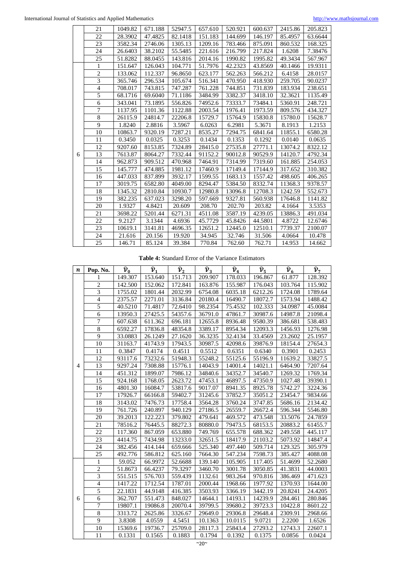|   | 21             | 1049.82 | 671.188 | 52947.5 | 657.610 | 520.921 | 600.637 | 2415.86 | 205.823 |
|---|----------------|---------|---------|---------|---------|---------|---------|---------|---------|
|   | 22             | 28.3902 | 47.4825 | 82.1418 | 151.183 | 144.699 | 146.197 | 85.4957 | 63.6644 |
|   | 23             | 3582.34 | 2746.06 | 1305.13 | 1209.16 | 783.466 | 875.091 | 860.532 | 168.325 |
|   | 24             | 26.6403 | 38.2102 | 55.5485 | 221.616 | 216.799 | 217.824 | 1.6208  | 7.38476 |
|   | 25             | 51.8282 | 88.0455 | 143.816 | 2014.16 | 1990.82 | 1995.82 | 49.3434 | 567.967 |
|   | 1              | 151.647 | 126.043 | 104.771 | 51.7976 | 42.2323 | 43.8569 | 40.1466 | 19.9311 |
|   | $\overline{2}$ | 133.062 | 112.337 | 96.8650 | 623.177 | 562.263 | 566.212 | 6.4158  | 28.0157 |
|   | 3              | 365.746 | 296.534 | 105.674 | 516.341 | 470.950 | 418.930 | 259.705 | 90.0237 |
|   | $\overline{4}$ | 708.017 | 743.815 | 747.287 | 761.228 | 744.851 | 731.839 | 183.934 | 238.651 |
|   | 5              | 68.1716 | 69.6040 | 71.1186 | 3484.99 | 3382.37 | 3418.10 | 32.3621 | 1135.49 |
|   | 6              | 343.041 | 73.1895 | 556.826 | 74952.6 | 73333.7 | 73484.1 | 5360.91 | 248.721 |
|   | 7              | 1137.95 | 1101.36 | 1122.88 | 2003.54 | 1976.41 | 1973.59 | 809.576 | 434.327 |
|   | $\overline{8}$ | 26115.9 | 24814.7 | 22206.8 | 15729.7 | 15764.9 | 15830.8 | 15780.0 | 15628.7 |
|   | 9              | 1.8240  | 2.8816  | 3.5967  | 6.0263  | 6.2981  | 5.3671  | 8.1913  | 1.2153  |
|   | 10             | 10863.7 | 9320.19 | 7287.21 | 8535.27 | 7294.75 | 6841.64 | 11855.1 | 6580.28 |
|   | 11             | 0.3450  | 0.0325  | 0.3253  | 0.1434  | 0.1353  | 0.1292  | 0.0140  | 0.0635  |
|   | 12             | 9207.60 | 8153.85 | 7324.89 | 28415.0 | 27535.8 | 27771.1 | 13074.2 | 8322.12 |
| 6 | 13             | 7613.87 | 8064.27 | 7332.44 | 91152.2 | 90012.8 | 90529.9 | 14120.7 | 4792.34 |
|   | 14             | 962.873 | 909.512 | 470.968 | 7464.91 | 7314.99 | 7319.60 | 161.885 | 254.053 |
|   | 15             | 145.777 | 474.885 | 1981.12 | 17460.9 | 17149.4 | 17144.9 | 317.652 | 310.382 |
|   | 16             | 447.033 | 837.899 | 3932.17 | 1599.55 | 1683.13 | 1557.42 | 498.605 | 406.265 |
|   | 17             | 3019.75 | 6582.80 | 4049.00 | 8294.47 | 5384.50 | 8332.74 | 11368.3 | 9378.57 |
|   | 18             | 1345.32 | 2810.84 | 10930.7 | 12980.8 | 13096.8 | 12708.3 | 1242.59 | 552.673 |
|   | 19             | 382.235 | 637.023 | 3298.20 | 597.669 | 9327.81 | 560.938 | 17646.8 | 1141.82 |
|   | 20             | 1.9327  | 4.8421  | 20.609  | 208.70  | 202.70  | 203.82  | 4.1664  | 3.5353  |
|   | 21             | 3698.22 | 5201.44 | 6271.31 | 4511.08 | 3587.19 | 4239.05 | 13886.3 | 491.034 |
|   | 22             | 9.2127  | 3.1344  | 4.6936  | 45.7729 | 45.8426 | 44.5801 | 4.8722  | 12.6746 |
|   | 23             | 10619.1 | 3141.81 | 4696.35 | 12651.2 | 12445.0 | 12510.1 | 7739.37 | 2100.07 |
|   | 24             | 21.616  | 20.156  | 19.920  | 34.945  | 32.746  | 31.506  | 4.0664  | 10.478  |
|   | 25             | 146.71  | 85.124  | 39.384  | 770.84  | 762.60  | 762.71  | 14.953  | 14.662  |

# **Table 4:** Standard Error of the Variance Estimators

| n | Pop. No.        | $\widehat{\nu}_{\underline{0}}$ | $\hat{\mathcal{V}}_1$ | $\widehat{\nu}_2$ | $\hat{v}_3$ | $\hat{v}_4$ | $\widehat{\nu}_{5}$ | $\widehat{\nu}_{\scriptscriptstyle\rm 6}$ | $\widehat{\mathcal{V}}_7$ |
|---|-----------------|---------------------------------|-----------------------|-------------------|-------------|-------------|---------------------|-------------------------------------------|---------------------------|
|   | 1               | 149.307                         | 153.640               | 151.713           | 209.907     | 178.033     | 196.867             | 61.877                                    | 128.392                   |
|   | $\overline{2}$  | 142.500                         | 152.062               | 172.841           | 163.876     | 155.987     | 176.043             | 103.764                                   | 115.902                   |
|   | $\overline{3}$  | 1755.02                         | 1801.44               | 2032.99           | 6754.08     | 6035.18     | 6212.26             | 1724.08                                   | 1789.64                   |
|   | $\overline{4}$  | 2375.57                         | 2271.01               | 3136.84           | 20180.4     | 16490.7     | 18072.7             | 1573.94                                   | 1488.42                   |
|   | $\overline{5}$  | 40.5210                         | 71.4817               | 72.6410           | 98.2354     | 75.4532     | 102.333             | 34.0987                                   | 45.0084                   |
|   | 6               | 13950.3                         | 27425.5               | 54357.6           | 36791.0     | 47861.7     | 30987.6             | 14987.8                                   | 21098.4                   |
|   | $\overline{7}$  | 607.638                         | 611.362               | 696.181           | 12655.8     | 8936.48     | 9580.39             | 386.681                                   | 538.483                   |
|   | 8               | 6592.27                         | 17836.8               | 48354.8           | 3389.17     | 8954.34     | 12093.3             | 1456.93                                   | 1276.98                   |
|   | 9               | 33.0883                         | 26.1249               | 27.1620           | 36.3235     | 32.4134     | 33.4569             | 23.2602                                   | 25.1957                   |
|   | 10              | 31163.7                         | 41743.9               | 17943.5           | 30987.5     | 42098.6     | 39876.9             | 18154.4                                   | 27654.3                   |
|   | 11              | 0.3847                          | 0.4174                | 0.4511            | 0.5512      | 0.6351      | 0.6340              | 0.3901                                    | 0.2453                    |
|   | $\overline{12}$ | 93117.6                         | 73232.6               | 51948.3           | 55248.2     | 55125.6     | 55196.9             | 11639.2                                   | 33827.5                   |
| 4 | 13              | 9297.24                         | 7308.88               | 15776.1           | 14043.9     | 14001.4     | 14021.1             | 6464.90                                   | 7207.64                   |
|   | 14              | 451.312                         | 1899.07               | 7986.12           | 34840.6     | 34352.7     | 34540.7             | 1269.32                                   | 1769.34                   |
|   | 15              | 924.168                         | 1768.05               | 2623.72           | 47453.1     | 46897.5     | 47350.9             | 1027.48                                   | 39390.1                   |
|   | 16              | 4801.30                         | 16084.7               | 53817.6           | 9017.07     | 8941.35     | 8925.78             | 5742.27                                   | 3224.36                   |
|   | 17              | 17926.7                         | 66166.8               | 59402.7           | 31245.6     | 37852.7     | 35051.2             | 23454.7                                   | 9834.66                   |
|   | 18              | 3143.02                         | 7476.73               | 17758.4           | 3564.28     | 3760.24     | 3747.85             | 5686.16                                   | 2134.42                   |
|   | 19              | 761.726                         | 240.897               | 940.129           | 27186.5     | 26559.7     | 26672.4             | 596.344                                   | 5546.80                   |
|   | $\overline{20}$ | 39.2013                         | 122.223               | 379.802           | 479.641     | 469.572     | 473.548             | 33.5076                                   | 24.7859                   |
|   | $\overline{21}$ | 78516.2                         | 76445.5               | 88272.3           | 80880.0     | 79473.5     | 68153.5             | 20883.2                                   | 61455.7                   |
|   | 22              | 117.360                         | 867.059               | 653.880           | 749.769     | 655.578     | 688.362             | 249.558                                   | 445.117                   |
|   | $\overline{23}$ | 4414.75                         | 7434.98               | 13233.0           | 32651.5     | 18417.9     | 21103.2             | 5073.92                                   | 14847.4                   |
|   | 24              | 382.456                         | 414.144               | 659.666           | 525.340     | 497.440     | 509.714             | 129.325                                   | 305.979                   |
|   | $\overline{25}$ | 492.776                         | 586.812               | 625.160           | 7664.30     | 547.234     | 7598.73             | 385.427                                   | 4088.08                   |
|   | 1               | 59.052                          | 66.9972               | 52.6688           | 139.140     | 105.905     | 117.405             | 51.4699                                   | 52.2680                   |
|   | $\overline{2}$  | 51.8673                         | 66.4237               | 79.3297           | 3460.70     | 3001.78     | 3050.85             | 41.3831                                   | 44.0003                   |
|   | $\overline{3}$  | 551.515                         | 576.703               | 559.439           | 1132.61     | 983.264     | 970.816             | 386.469                                   | 471.623                   |
|   | $\overline{4}$  | 1417.22                         | 1712.54               | 1787.01           | 2000.44     | 1968.66     | 1977.92             | 1370.93                                   | 1644.00                   |
|   | 5               | 22.1831                         | 44.9148               | 416.385           | 3503.93     | 3366.19     | 3442.19             | 20.8241                                   | 24.4205                   |
| 6 | 6               | 362.707                         | 551.473               | 848.027           | 14644.1     | 14193.1     | 14239.9             | 284.461                                   | 280.846                   |
|   | $\overline{7}$  | 19807.1                         | 19086.8               | 20070.4           | 39799.5     | 39680.2     | 39723.3             | 10422.8                                   | 8601.22                   |
|   | $\overline{8}$  | 3313.72                         | 2625.86               | 3326.67           | 29649.0     | 29306.8     | 29648.4             | 2309.91                                   | 2968.66                   |
|   | $\overline{9}$  | 3.8308                          | 4.0559                | 4.5451            | 10.1363     | 10.0115     | 9.0721              | 2.2200                                    | 1.6526                    |
|   | 10              | 15369.6                         | 19736.7               | 25709.0           | 28117.3     | 25843.4     | 27293.2             | 12743.3                                   | 22607.1                   |
|   | 11              | 0.1331                          | 0.1565                | 0.1883            | 0.1794      | 0.1392      | 0.1375              | 0.0856                                    | 0.0424                    |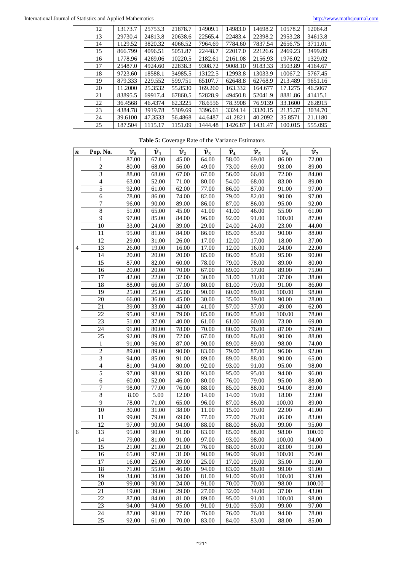| 12 | 13173.7 | 25753.3 | 21878.7 | 14909.1 | 14983.0 | 14698.2 | 10578.2 | 12064.8 |
|----|---------|---------|---------|---------|---------|---------|---------|---------|
| 13 | 29730.4 | 24813.8 | 20638.6 | 22565.4 | 22483.4 | 22398.2 | 2953.28 | 34613.8 |
| 14 | 1129.52 | 3820.32 | 4066.52 | 7964.69 | 7784.60 | 7837.54 | 2656.75 | 3711.01 |
| 15 | 866.799 | 4096.51 | 5051.87 | 22448.7 | 22017.0 | 22126.6 | 2469.23 | 3499.89 |
| 16 | 1778.96 | 4269.06 | 10220.5 | 2182.61 | 2161.08 | 2156.93 | 1976.02 | 1329.02 |
| 17 | 25487.0 | 4924.60 | 22838.3 | 9308.72 | 9008.10 | 9183.33 | 3503.89 | 4164.67 |
| 18 | 9723.60 | 18588.1 | 34985.5 | 13122.5 | 12993.8 | 13033.9 | 10067.2 | 5767.45 |
| 19 | 879.333 | 229.552 | 599.751 | 65107.7 | 62648.8 | 62768.9 | 213.489 | 9651.16 |
| 20 | 11.2000 | 25.3532 | 55.8530 | 169.260 | 163.332 | 164.677 | 17.1275 | 46.5067 |
| 21 | 83895.5 | 69917.4 | 67860.5 | 52828.9 | 49450.8 | 52041.9 | 8881.86 | 41415.1 |
| 22 | 36.4568 | 46.4374 | 62.3225 | 78.6556 | 78.3908 | 76.9139 | 33.1600 | 26.8915 |
| 23 | 4384.78 | 3919.78 | 5309.69 | 3396.61 | 3324.14 | 3320.15 | 2135.37 | 3034.70 |
| 24 | 39.6100 | 47.3533 | 56.4868 | 44.6487 | 41.2821 | 40.2092 | 35.8571 | 21.1180 |
| 25 | 187.504 | 1115.17 | 1151.09 | 1444.48 | 1426.87 | 1431.47 | 100.015 | 555.095 |

**Table 5:** Coverage Rate of the Variance Estimators

| $\boldsymbol{n}$ | Pop. No.       | $\widehat{\mathcal{V}}_{0}$ | $\widehat{\mathcal{V}}_1$ | $\widehat{\mathcal{V}}_2$ | $\widehat{\mathcal{V}}_3$ | $\widehat{\mathcal{V}}_{4}$ | $\widehat{\mathcal{V}}_5$ | $\widehat{\nu}_{\underline{\mathbf{6}}}$ | $\widehat{\mathcal{V}}_7$ |
|------------------|----------------|-----------------------------|---------------------------|---------------------------|---------------------------|-----------------------------|---------------------------|------------------------------------------|---------------------------|
|                  |                | 87.00                       | 67.00                     | 45.00                     | 64.00                     | 58.00                       | 69.00                     | 86.00                                    | 72.00                     |
|                  | 2              | 80.00                       | 68.00                     | 56.00                     | 49.00                     | 73.00                       | 69.00                     | 93.00                                    | 89.00                     |
|                  | 3              | 88.00                       | 68.00                     | 67.00                     | 67.00                     | 56.00                       | 66.00                     | 72.00                                    | 84.00                     |
|                  | $\overline{4}$ | 63.00                       | 52.00                     | 71.00                     | 80.00                     | 54.00                       | 68.00                     | 83.00                                    | 89.00                     |
|                  | 5              | 92.00                       | 61.00                     | 62.00                     | 77.00                     | 86.00                       | 87.00                     | 91.00                                    | 97.00                     |
|                  | 6              | 78.00                       | 86.00                     | 74.00                     | 82.00                     | 79.00                       | 82.00                     | 90.00                                    | 97.00                     |
|                  | 7              | 96.00                       | 90.00                     | 89.00                     | 86.00                     | 87.00                       | 86.00                     | 95.00                                    | 92.00                     |
|                  | 8              | 51.00                       | 65.00                     | 45.00                     | 41.00                     | 41.00                       | 46.00                     | 55.00                                    | 61.00                     |
|                  | 9              | 97.00                       | 85.00                     | 84.00                     | 96.00                     | 92.00                       | 91.00                     | 100.00                                   | 87.00                     |
|                  | 10             | 33.00                       | 24.00                     | 39.00                     | 29.00                     | 24.00                       | 24.00                     | 23.00                                    | 44.00                     |
|                  | 11             | 95.00                       | 81.00                     | 84.00                     | 86.00                     | 85.00                       | 85.00                     | 90.00                                    | 88.00                     |
|                  | 12             | 29.00                       | 31.00                     | 26.00                     | 17.00                     | 12.00                       | 17.00                     | 18.00                                    | 37.00                     |
| 4                | 13             | 26.00                       | 19.00                     | 16.00                     | 17.00                     | 12.00                       | 16.00                     | 24.00                                    | 22.00                     |
|                  | 14             | 20.00                       | 20.00                     | 20.00                     | 85.00                     | 86.00                       | 85.00                     | 95.00                                    | 90.00                     |
|                  | 15             | 87.00                       | 82.00                     | 60.00                     | 78.00                     | 79.00                       | 78.00                     | 89.00                                    | 80.00                     |
|                  | 16             | 20.00                       | 20.00                     | 70.00                     | 67.00                     | 69.00                       | 57.00                     | 89.00                                    | 75.00                     |
|                  | 17             | 42.00                       | 22.00                     | 32.00                     | 30.00                     | 31.00                       | 31.00                     | 37.00                                    | 38.00                     |
|                  | 18             | 88.00                       | 66.00                     | 57.00                     | 80.00                     | 81.00                       | 79.00                     | 91.00                                    | 86.00                     |
|                  | 19             | 25.00                       | 25.00                     | 25.00                     | 90.00                     | 60.00                       | 89.00                     | 100.00                                   | 98.00                     |
|                  | 20             | 66.00                       | 36.00                     | 45.00                     | 30.00                     | 35.00                       | 39.00                     | 90.00                                    | 28.00                     |
|                  | 21             | 39.00                       | 33.00                     | 44.00                     | 41.00                     | 57.00                       | 37.00                     | 49.00                                    | 62.00                     |
|                  | 22             | 95.00                       | 92.00                     | 79.00                     | 85.00                     | 86.00                       | 85.00                     | 100.00                                   | 78.00                     |
|                  | 23             | 51.00                       | 37.00                     | 40.00                     | 61.00                     | 61.00                       | 60.00                     | 73.00                                    | 69.00                     |
|                  | 24             | 91.00                       | 80.00                     | 78.00                     | 70.00                     | 80.00                       | 76.00                     | 87.00                                    | 79.00                     |
|                  | 25             | 92.00                       | 89.00                     | 72.00                     | 67.00                     | 80.00                       | 86.00                     | 90.00                                    | 88.00                     |
|                  | 1              | 91.00                       | 96.00                     | 87.00                     | 90.00                     | 89.00                       | 89.00                     | 98.00                                    | 74.00                     |
|                  | 2              | 89.00                       | 89.00                     | 90.00                     | 83.00                     | 79.00                       | 87.00                     | 96.00                                    | 92.00                     |
|                  | $\overline{3}$ | 94.00                       | 85.00                     | 91.00                     | 89.00                     | 89.00                       | 88.00                     | 90.00                                    | 65.00                     |
|                  | $\overline{4}$ | 81.00                       | 94.00                     | 80.00                     | 92.00                     | 93.00                       | 91.00                     | 95.00                                    | 98.00                     |
|                  | 5              | 97.00                       | 98.00                     | 93.00                     | 93.00                     | 95.00                       | 95.00                     | 94.00                                    | 96.00                     |
|                  | 6              | 60.00                       | 52.00                     | 46.00                     | 80.00                     | 76.00                       | 79.00                     | 95.00                                    | 88.00                     |
|                  | 7              | 98.00                       | 77.00                     | 76.00                     | 88.00                     | 85.00                       | 88.00                     | 94.00                                    | 89.00                     |
|                  | $\,$ 8 $\,$    | 8.00                        | 5.00                      | 12.00                     | 14.00                     | 14.00                       | 19.00                     | 18.00                                    | 23.00                     |
|                  | 9              | 78.00                       | 71.00                     | 65.00                     | 96.00                     | 87.00                       | 86.00                     | 100.00                                   | 89.00                     |
|                  | 10             | 30.00                       | 31.00                     | 38.00                     | 11.00                     | 15.00                       | 19.00                     | 22.00                                    | 41.00                     |
|                  | 11             | 99.00                       | 79.00                     | 69.00                     | 77.00                     | 77.00                       | 76.00                     | 86.00                                    | 83.00                     |
|                  | 12             | 97.00                       | 90.00                     | 94.00                     | 88.00                     | 88.00                       | 86.00                     | 99.00                                    | 95.00                     |
| 6                | 13             | 95.00                       | 90.00<br>81.00            | 91.00                     | 83.00                     | 85.00                       | 88.00                     | 98.00                                    | 100.00                    |
|                  | 14             | 79.00                       |                           | 91.00                     | 97.00                     | 93.00                       | 98.00                     | 100.00                                   | 94.00                     |
|                  | 15             | 21.00                       | 21.00                     | 21.00                     | 76.00                     | 88.00                       | 80.00                     | 83.00                                    | 91.00                     |
|                  | 16             | 65.00                       | 97.00                     | 31.00                     | 98.00                     | 96.00                       | 96.00                     | 100.00                                   | 76.00                     |
|                  | 17             | 16.00                       | 25.00                     | 39.00                     | 25.00                     | 17.00                       | 19.00                     | 35.00                                    | 31.00                     |
|                  | 18<br>19       | 71.00<br>34.00              | 55.00<br>34.00            | 46.00                     | 94.00                     | 83.00<br>91.00              | 86.00<br>90.00            | 99.00                                    | 91.00<br>93.00            |
|                  | 20             | 99.00                       | 90.00                     | 34.00<br>24.00            | 81.00<br>91.00            | 70.00                       | 70.00                     | 100.00<br>98.00                          | 100.00                    |
|                  | 21             | 19.00                       | 39.00                     | 29.00                     | 27.00                     |                             | 34.00                     | 37.00                                    | 43.00                     |
|                  | 22             |                             |                           |                           |                           | 32.00                       |                           |                                          |                           |
|                  | 23             | 87.00<br>94.00              | 84.00<br>94.00            | 81.00<br>95.00            | 89.00<br>91.00            | 95.00<br>91.00              | 91.00<br>93.00            | 100.00<br>99.00                          | 98.00<br>97.00            |
|                  | 24             | 87.00                       | 90.00                     | 77.00                     | 76.00                     | 76.00                       | 76.00                     | 94.00                                    | 78.00                     |
|                  | 25             | 92.00                       | 61.00                     | 70.00                     | 83.00                     | 84.00                       | 83.00                     | 88.00                                    | 85.00                     |
|                  |                |                             |                           |                           |                           |                             |                           |                                          |                           |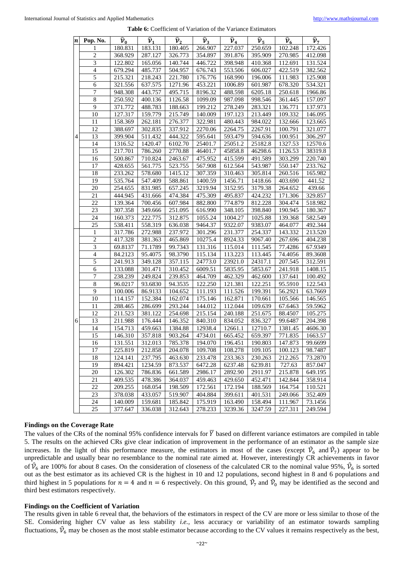|   | $n$ Pop. No.             | $\widehat{\mathcal{V}}_0$ | $\widehat{\mathcal{V}}_1$ | $\widehat{\mathcal{V}}_2$ | $\widehat{\mathcal{V}}_3$ | $\widehat{\mathcal{V}}_4$ | $\widehat{\mathcal{V}}_{5}$ | $\hat{\nu}_{6}$ | $\widehat{\mathcal{V}}_7$ |
|---|--------------------------|---------------------------|---------------------------|---------------------------|---------------------------|---------------------------|-----------------------------|-----------------|---------------------------|
|   |                          | 180.831                   | 183.131                   | 180.405                   | 266.907                   | 227.037                   | 250.659                     | 102.248         | 172.426                   |
|   | $\mathbf{2}$             | 368.929                   | 287.127                   | 326.773                   | 354.897                   | 391.876                   | 395.909                     | 270.985         | 412.098                   |
|   | $\overline{3}$           | 122.802                   | 165.056                   | 140.744                   | 446.722                   | 398.948                   | 410.368                     | 112.691         | 131.524                   |
|   | $\overline{\mathcal{L}}$ | 679.294                   | 485.737                   | 504.957                   | 676.743                   | 553.506                   | 606.027                     | 422.519         | 382.562                   |
|   | 5                        | 215.321                   | 218.243                   | 221.780                   | 176.776                   | 168.990                   | 196.006                     | 111.983         | 125.908                   |
|   | 6                        | 321.556                   | 637.575                   | 1271.96                   | 453.221                   | 1006.89                   | 601.987                     | 678.320         | 534.321                   |
|   | $\overline{7}$           | 948.308                   | 443.757                   | 495.715                   | 8196.32                   | 488.598                   | 6205.18                     | 250.618         | 1966.86                   |
|   | $\overline{8}$           | 250.592                   | 400.136                   | 1126.58                   | 1099.09                   | 987.098                   | 998.546                     | 361.445         | 157.097                   |
|   | $\overline{9}$           | 371.772                   | 488.783                   | 188.663                   | 199.212                   | 278.249                   | 283.321                     | 136.771         | 137.973                   |
|   | 10                       | 127.317                   | 159.779                   | 215.749                   | 140.009                   | 197.123                   | 213.449                     | 109.332         | 146.095                   |
|   | 11                       | 158.369                   | 262.181                   | 276.377                   | 322.981                   | 480.443                   | 984.022                     | 132.666         | 123.665                   |
|   | 12                       | 388.697                   | 302.835                   | 337.912                   | 2270.06                   | 2264.75                   | 2267.91                     | 100.791         | 321.077                   |
| 4 | 13                       | 399.904                   | 511.432                   | 444.322                   | 595.641                   | 593.479                   | 594.636                     | 100.951         | 306.297                   |
|   | 14                       | 1316.52                   | 1420.47                   | 6102.70                   | 25401.7                   | 25051.2                   | 25182.8                     | 1327.53         | 12570.6                   |
|   | 15                       | 217.701                   | 786.260                   | 2770.88                   | 46401.7                   | 45858.8                   | 46298.6                     | 1126.53         | 38319.8                   |
|   | 16                       | 500.867                   | 710.824                   | 2463.67                   | 475.952                   | 415.599                   | 491.589                     | 303.299         | 220.740                   |
|   | 17                       | 428.655                   | 561.775                   | 523.755                   | 567.908                   | 612.564                   | 543.987                     | 550.147         | 233.762                   |
|   | 18                       | 233.262                   | 578.680                   | 1415.12                   | 307.359                   | 310.463                   | 305.814                     | 260.516         | 165.982                   |
|   | 19                       | 535.764                   | 547.409                   | 588.861                   | 1400.59                   | 1456.71                   | 1418.66                     | 403.690         | 441.52                    |
|   | 20                       | 254.655                   | 831.985                   | 657.245                   | 3219.94                   | 3152.95                   | 3179.38                     | 264.652         | 439.66                    |
|   | 21                       | 444.945                   | 431.666                   | 474.384                   | 475.309                   | 495.837                   | 424.232                     | 171.306         | 329.857                   |
|   | 22                       | 139.364                   | 700.456                   | 607.984                   | 882.800                   | 774.879                   | 812.228                     | 304.474         | 518.982                   |
|   | 23                       | 307.358                   | 349.666                   | 251.095                   | 616.990                   | 348.105                   | 398.840                     | 190.945         | 180.367                   |
|   | 24                       | 160.373                   | 222.775                   | 312.875                   | 1055.24                   | 1004.27                   | 1025.88                     | 139.368         | 582.549                   |
|   | 25                       | 538.411                   | 558.319                   | 636.038                   | 9464.37                   | 9322.07                   | 9383.07                     | 464.077         | 492.344                   |
|   | 1                        | 317.786                   | 272.988                   | 237.972                   | 301.296                   | 231.377                   | 254.337                     | 143.332         | 213.520                   |
|   | $\overline{c}$           | 417.328                   | 381.363                   | 465.869                   | 10275.4                   | 8924.33                   | 9067.40                     | 267.696         | 404.238                   |
|   | $\overline{3}$           | 69.8137                   | 71.1789                   | 99.7343                   | 131.316                   | 115.014                   | 111.545                     | 77.4286         | 67.9349                   |
|   | $\overline{4}$           | 84.2123                   | 95.4075                   | 98.3790                   | 115.134                   | 113.223                   | 113.445                     | 74.4056         | 89.3608                   |
|   | $\overline{5}$           | 241.913                   | 349.128                   | 357.115                   | 24773.0                   | 23921.0                   | 24317.1                     | 207.545         | 312.591                   |
|   | $\epsilon$               | 133.088                   | 301.471                   | 310.452                   | 6009.51                   | 5835.95                   | 5853.67                     | 241.918         | 1408.15                   |
|   | $\overline{7}$           | 238.239                   | 249.824                   | 239.853                   | 464.709                   | 462.329                   | 462.600                     | 137.641         | 100.492                   |
|   | $\overline{\bf 8}$       | 96.0217                   | 93.6830                   | 94.3535                   | 122.250                   | 121.381                   | 122.251                     | 95.5910         | 122.543                   |
|   | $\overline{9}$           | 100.006                   | 86.9133                   | 104.652                   | 111.193                   | 111.526                   | 199.391                     | 56.2921         | 63.7669                   |
|   | 10                       | 114.157                   | 152.384                   | 162.074                   | 175.146                   | 162.871                   | 170.661                     | 105.566         | 146.565                   |
|   | 11                       | 288.465                   | 286.699                   | 293.244                   | 144.012                   | 112.044                   | 109.639                     | 67.6463         | 59.5962                   |
|   | 12                       | 211.523                   | 381.122                   | 254.698                   | 215.154                   | 240.188                   | 251.675                     | 88.4507         | 105.275                   |
| 6 | 13                       | 211.988                   | 176.444                   | 146.352                   | 840.310                   | 834.052                   | 836.327                     | 99.6487         | 204.398                   |
|   | 14                       | 154.713                   | 459.663                   | 1384.88                   | 12938.4                   | 12661.1                   | 12710.7                     | 1381.45         | 4606.30                   |
|   | 15                       | 146.310                   | 357.818                   | 903.264                   | 4734.01                   | 665.452                   | 659.397                     | 771.835         | 1663.57                   |
|   | 16                       | 131.551                   | 312.013                   | 785.378                   | 194.070                   | 196.451                   | 190.803                     | 147.873         | 99.6699                   |
|   | 17                       | 225.819                   | 212.858                   | 204.078                   | 109.708                   | 108.278                   | 109.105                     | 100.123         | 98.7487                   |
|   | 18                       | 124.141                   | 237.795                   | 463.630                   | 233.478                   | 233.363                   | 230.263                     | 212.265         | 73.2870                   |
|   | 19                       | 894.421                   | 1234.59                   | 873.537                   | 6472.28                   | 6237.48                   | 6239.81                     | 727.63          | 857.047                   |
|   | 20                       | 126.302                   | 786.836                   | 661.589                   | 2986.17                   | 2892.90                   | 2911.97                     | 215.878         | 649.195                   |
|   | 21                       | 409.535                   | 478.386                   | 364.037                   | 459.463                   | 429.650                   | 452.471                     | 142.844         | 358.914                   |
|   | 22                       | 209.255                   | 168.054                   | 198.509                   | 172.561                   | 172.194                   | 188.569                     | 164.754         | 110.521                   |
|   | 23                       | 378.038                   | 433.057                   | 519.907                   | 404.884                   | 399.611                   | 401.531                     | 249.066         | 352.409                   |
|   | 24                       | 140.009                   | 159.681                   | 185.842                   | 175.919                   | 163.490                   | 158.494                     | 111.967         | 73.1456                   |
|   | 25                       | 377.647                   | 336.038                   | 312.643                   | 278.233                   | 3239.36                   | 3247.59                     | 227.311         | 249.594                   |

#### **Table 6:** Coefficient of Variation of the Variance Estimators

#### **Findings on the Coverage Rate**

The values of the CRs of the nominal 95% confidence intervals for  $\overline{Y}$  based on different variance estimators are compiled in table 5. The results on the achieved CRs give clear indication of improvement in the performance of an estimator as the sample size increases. In the light of this performance measure, the estimators in most of the cases (except  $\hat{V}_6$  and  $\hat{V}_7$ ) appear to be unpredictable and usually bear no resemblance to the nominal rate aimed at. However, interestingly CR achievements in favor of  $\hat{\mathcal{V}}_6$  are 100% for about 8 cases. On the consideration of closeness of the calculated CR to the nominal value 95%,  $\hat{\mathcal{V}}_6$  is sorted out as the best estimator as its achieved CR is the highest in 10 and 12 populations, second highest in 8 and 6 populations and third highest in 5 populations for  $n = 4$  and  $n = 6$  respectively. On this ground,  $\hat{V}_7$  and  $\hat{V}_0$  may be identified as the second and third best estimators respectively.

#### **Findings on the Coefficient of Variation**

The results given in table 6 reveal that, the behaviors of the estimators in respect of the CV are more or less similar to those of the SE. Considering higher CV value as less stability *i.e.,* less accuracy or variability of an estimator towards sampling fluctuations,  $\hat{\mathcal{V}}_6$  may be chosen as the most stable estimator because according to the CV values it remains respectively as the best,